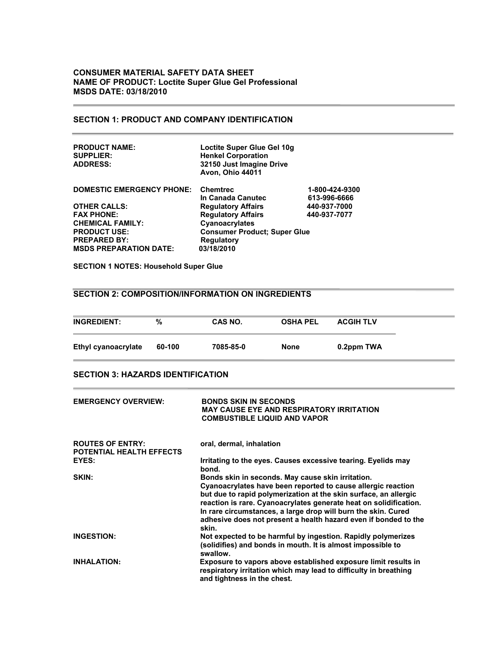# **CONSUMER MATERIAL SAFETY DATA SHEET NAME OF PRODUCT: Loctite Super Glue Gel Professional MSDS DATE: 03/18/2010**

# **SECTION 1: PRODUCT AND COMPANY IDENTIFICATION**

| <b>PRODUCT NAME:</b><br><b>SUPPLIER:</b><br><b>ADDRESS:</b> | Loctite Super Glue Gel 10g<br><b>Henkel Corporation</b><br>32150 Just Imagine Drive<br><b>Avon, Ohio 44011</b> |                |
|-------------------------------------------------------------|----------------------------------------------------------------------------------------------------------------|----------------|
| <b>DOMESTIC EMERGENCY PHONE:</b>                            | <b>Chemtrec</b>                                                                                                | 1-800-424-9300 |
|                                                             | In Canada Canutec                                                                                              | 613-996-6666   |
| <b>OTHER CALLS:</b>                                         | <b>Regulatory Affairs</b>                                                                                      | 440-937-7000   |
| <b>FAX PHONE:</b>                                           | <b>Regulatory Affairs</b>                                                                                      | 440-937-7077   |
| <b>CHEMICAL FAMILY:</b>                                     | Cyanoacrylates                                                                                                 |                |
| <b>PRODUCT USE:</b>                                         | <b>Consumer Product; Super Glue</b>                                                                            |                |
| <b>PREPARED BY:</b>                                         | <b>Regulatory</b>                                                                                              |                |
| <b>MSDS PREPARATION DATE:</b>                               | 03/18/2010                                                                                                     |                |

**SECTION 1 NOTES: Household Super Glue**

# **SECTION 2: COMPOSITION/INFORMATION ON INGREDIENTS**

| <b>INGREDIENT:</b>  | %      | CAS NO.   | <b>OSHA PEL</b> | <b>ACGIH TLV</b> |
|---------------------|--------|-----------|-----------------|------------------|
| Ethyl cyanoacrylate | 60-100 | 7085-85-0 | None            | 0.2ppm TWA       |

## **SECTION 3: HAZARDS IDENTIFICATION**

| <b>EMERGENCY OVERVIEW:</b>                          | <b>BONDS SKIN IN SECONDS</b><br><b>MAY CAUSE EYE AND RESPIRATORY IRRITATION</b><br><b>COMBUSTIBLE LIQUID AND VAPOR</b>                                                                                                                                                                                                                                                                                  |
|-----------------------------------------------------|---------------------------------------------------------------------------------------------------------------------------------------------------------------------------------------------------------------------------------------------------------------------------------------------------------------------------------------------------------------------------------------------------------|
| <b>ROUTES OF ENTRY:</b><br>POTENTIAL HEALTH EFFECTS | oral, dermal, inhalation                                                                                                                                                                                                                                                                                                                                                                                |
| EYES:                                               | Irritating to the eyes. Causes excessive tearing. Eyelids may<br>bond.                                                                                                                                                                                                                                                                                                                                  |
| SKIN:                                               | Bonds skin in seconds. May cause skin irritation.<br>Cyanoacrylates have been reported to cause allergic reaction<br>but due to rapid polymerization at the skin surface, an allergic<br>reaction is rare. Cyanoacrylates generate heat on solidification.<br>In rare circumstances, a large drop will burn the skin. Cured<br>adhesive does not present a health hazard even if bonded to the<br>skin. |
| <b>INGESTION:</b>                                   | Not expected to be harmful by ingestion. Rapidly polymerizes<br>(solidifies) and bonds in mouth. It is almost impossible to<br>swallow.                                                                                                                                                                                                                                                                 |
| <b>INHALATION:</b>                                  | Exposure to vapors above established exposure limit results in<br>respiratory irritation which may lead to difficulty in breathing<br>and tightness in the chest.                                                                                                                                                                                                                                       |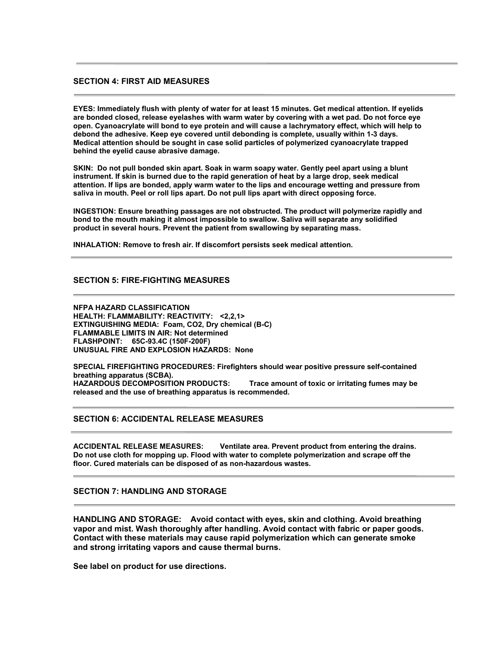# **SECTION 4: FIRST AID MEASURES**

**EYES: Immediately flush with plenty of water for at least 15 minutes. Get medical attention. If eyelids are bonded closed, release eyelashes with warm water by covering with a wet pad. Do not force eye open. Cyanoacrylate will bond to eye protein and will cause a lachrymatory effect, which will help to debond the adhesive. Keep eye covered until debonding is complete, usually within 1-3 days. Medical attention should be sought in case solid particles of polymerized cyanoacrylate trapped behind the eyelid cause abrasive damage.**

**SKIN: Do not pull bonded skin apart. Soak in warm soapy water. Gently peel apart using a blunt instrument. If skin is burned due to the rapid generation of heat by a large drop, seek medical attention. If lips are bonded, apply warm water to the lips and encourage wetting and pressure from saliva in mouth. Peel or roll lips apart. Do not pull lips apart with direct opposing force.**

**INGESTION: Ensure breathing passages are not obstructed. The product will polymerize rapidly and bond to the mouth making it almost impossible to swallow. Saliva will separate any solidified product in several hours. Prevent the patient from swallowing by separating mass.**

**INHALATION: Remove to fresh air. If discomfort persists seek medical attention.**

### **SECTION 5: FIRE-FIGHTING MEASURES**

**NFPA HAZARD CLASSIFICATION HEALTH: FLAMMABILITY: REACTIVITY: <2,2,1> EXTINGUISHING MEDIA: Foam, CO2, Dry chemical (B-C) FLAMMABLE LIMITS IN AIR: Not determined FLASHPOINT: 65C-93.4C (150F-200F) UNUSUAL FIRE AND EXPLOSION HAZARDS: None**

**SPECIAL FIREFIGHTING PROCEDURES: Firefighters should wear positive pressure self-contained breathing apparatus (SCBA). Trace amount of toxic or irritating fumes may be released and the use of breathing apparatus is recommended.**

### **SECTION 6: ACCIDENTAL RELEASE MEASURES**

**ACCIDENTAL RELEASE MEASURES: Ventilate area. Prevent product from entering the drains. Do not use cloth for mopping up. Flood with water to complete polymerization and scrape off the floor. Cured materials can be disposed of as non-hazardous wastes.**

### **SECTION 7: HANDLING AND STORAGE**

**HANDLING AND STORAGE: Avoid contact with eyes, skin and clothing. Avoid breathing vapor and mist. Wash thoroughly after handling. Avoid contact with fabric or paper goods. Contact with these materials may cause rapid polymerization which can generate smoke and strong irritating vapors and cause thermal burns.**

**See label on product for use directions.**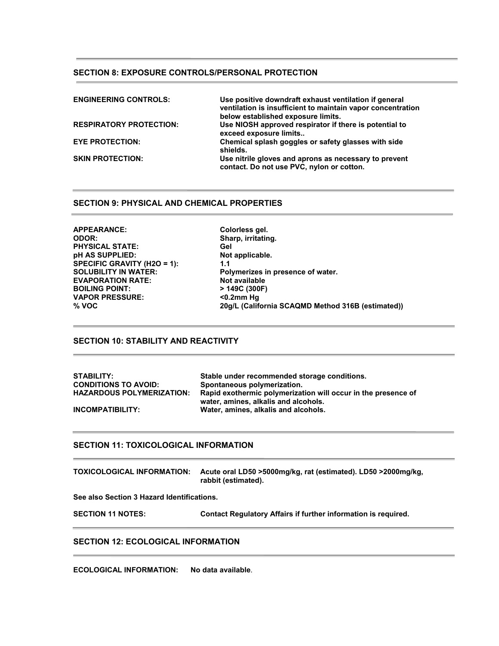# **SECTION 8: EXPOSURE CONTROLS/PERSONAL PROTECTION**

| <b>ENGINEERING CONTROLS:</b>   | Use positive downdraft exhaust ventilation if general<br>ventilation is insufficient to maintain vapor concentration<br>below established exposure limits. |
|--------------------------------|------------------------------------------------------------------------------------------------------------------------------------------------------------|
| <b>RESPIRATORY PROTECTION:</b> | Use NIOSH approved respirator if there is potential to<br>exceed exposure limits                                                                           |
| <b>EYE PROTECTION:</b>         | Chemical splash goggles or safety glasses with side<br>shields.                                                                                            |
| <b>SKIN PROTECTION:</b>        | Use nitrile gloves and aprons as necessary to prevent<br>contact. Do not use PVC, nylon or cotton.                                                         |

# **SECTION 9: PHYSICAL AND CHEMICAL PROPERTIES**

**APPEARANCE: Colorless gel. ODOR: Sharp, irritating.** PHYSICAL STATE: Gel Gel Gel STATE:<br>
pH AS SUPPLIED: Not applicable. **pH AS SUPPLIED: SPECIFIC GRAVITY (H2O = 1): 1.1**<br>SOLUBILITY IN WATER: Pol **EVAPORATION RATE: Not available BOILING POINT: VAPOR PRESSURE: <0.2mm Hg**

Polymerizes in presence of water.<br>Not available **% VOC 20g/L (California SCAQMD Method 316B (estimated))**

# **SECTION 10: STABILITY AND REACTIVITY**

| <b>STABILITY:</b>                | Stable under recommended storage conditions.                  |
|----------------------------------|---------------------------------------------------------------|
| <b>CONDITIONS TO AVOID:</b>      | Spontaneous polymerization.                                   |
| <b>HAZARDOUS POLYMERIZATION:</b> | Rapid exothermic polymerization will occur in the presence of |
|                                  | water, amines, alkalis and alcohols.                          |
| INCOMPATIBILITY:                 | Water, amines, alkalis and alcohols.                          |

### **SECTION 11: TOXICOLOGICAL INFORMATION**

**TOXICOLOGICAL INFORMATION: Acute oral LD50 >5000mg/kg, rat (estimated). LD50 >2000mg/kg, rabbit (estimated).**

**See also Section 3 Hazard Identifications.**

**SECTION 11 NOTES: Contact Regulatory Affairs if further information is required.**

### **SECTION 12: ECOLOGICAL INFORMATION**

**ECOLOGICAL INFORMATION: No data available**.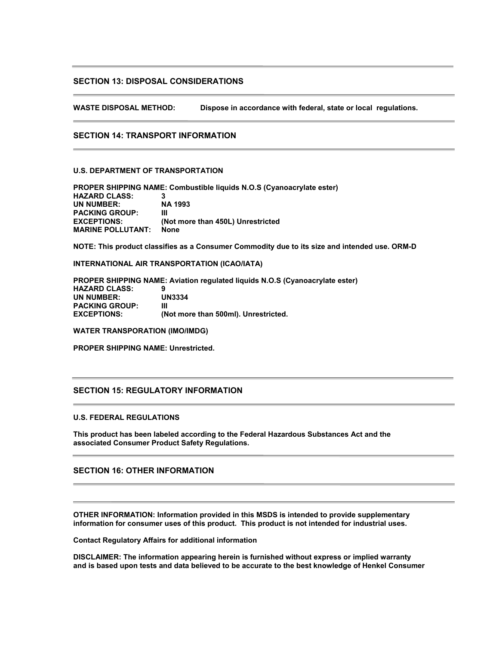# **SECTION 13: DISPOSAL CONSIDERATIONS**

**WASTE DISPOSAL METHOD: Dispose in accordance with federal, state or local regulations.**

#### **SECTION 14: TRANSPORT INFORMATION**

## **U.S. DEPARTMENT OF TRANSPORTATION**

**PROPER SHIPPING NAME: Combustible liquids N.O.S (Cyanoacrylate ester) HAZARD CLASS: 3 UN NUMBER: NA 1993 PACKING GROUP: III EXCEPTIONS: (Not more than 450L) Unrestricted MARINE POLLUTANT: None**

**NOTE: This product classifies as a Consumer Commodity due to its size and intended use. ORM-D**

**INTERNATIONAL AIR TRANSPORTATION (ICAO/IATA)**

**PROPER SHIPPING NAME: Aviation regulated liquids N.O.S (Cyanoacrylate ester) HAZARD CLASS: 9 UN NUMBER: UN3334 PACKING GROUP: III EXCEPTIONS: (Not more than 500ml). Unrestricted.**

**WATER TRANSPORATION (IMO/IMDG)**

**PROPER SHIPPING NAME: Unrestricted.**

## **SECTION 15: REGULATORY INFORMATION**

#### **U.S. FEDERAL REGULATIONS**

**This product has been labeled according to the Federal Hazardous Substances Act and the associated Consumer Product Safety Regulations.**

# **SECTION 16: OTHER INFORMATION**

**OTHER INFORMATION: Information provided in this MSDS is intended to provide supplementary information for consumer uses of this product. This product is not intended for industrial uses.**

**Contact Regulatory Affairs for additional information**

**DISCLAIMER: The information appearing herein is furnished without express or implied warranty and is based upon tests and data believed to be accurate to the best knowledge of Henkel Consumer**